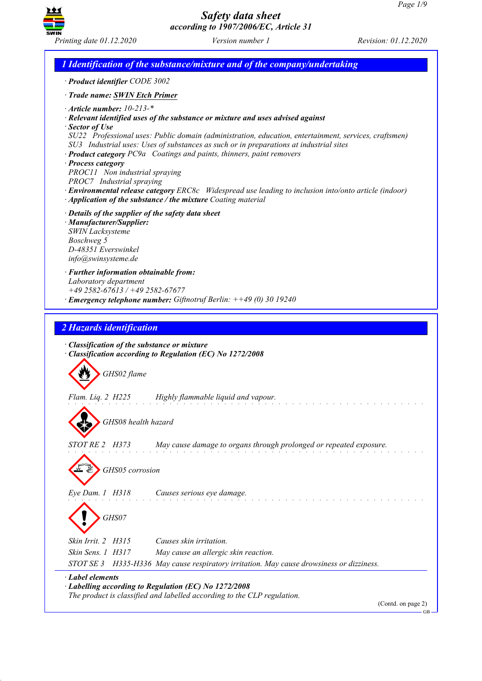

*Printing date 01.12.2020 Version number 1 Revision: 01.12.2020*

*1 Identification of the substance/mixture and of the company/undertaking · Product identifier CODE 3002 · Trade name: SWIN Etch Primer · Article number: 10-213-\* · Relevant identified uses of the substance or mixture and uses advised against · Sector of Use SU22 Professional uses: Public domain (administration, education, entertainment, services, craftsmen) SU3 Industrial uses: Uses of substances as such or in preparations at industrial sites · Product category PC9a Coatings and paints, thinners, paint removers · Process category PROC11 Non industrial spraying PROC7 Industrial spraying · Environmental release category ERC8c Widespread use leading to inclusion into/onto article (indoor) · Application of the substance / the mixture Coating material · Details of the supplier of the safety data sheet · Manufacturer/Supplier: SWIN Lacksysteme Boschweg 5 D-48351 Everswinkel info@swinsysteme.de · Further information obtainable from: Laboratory department +49 2582-67613 / +49 2582-67677 · Emergency telephone number: Giftnotruf Berlin: ++49 (0) 30 19240 2 Hazards identification · Classification of the substance or mixture · Classification according to Regulation (EC) No 1272/2008 GHS02 flame Flam. Liq. 2 H225 Highly flammable liquid and vapour. GHS08 health hazard STOT RE 2 H373 May cause damage to organs through prolonged or repeated exposure. GHS05 corrosion Eye Dam. 1 H318 Causes serious eye damage. GHS07 Skin Irrit. 2 H315 Causes skin irritation. Skin Sens. 1 H317 May cause an allergic skin reaction. STOT SE 3 H335-H336 May cause respiratory irritation. May cause drowsiness or dizziness. · Label elements · Labelling according to Regulation (EC) No 1272/2008 The product is classified and labelled according to the CLP regulation.*

(Contd. on page 2)

GB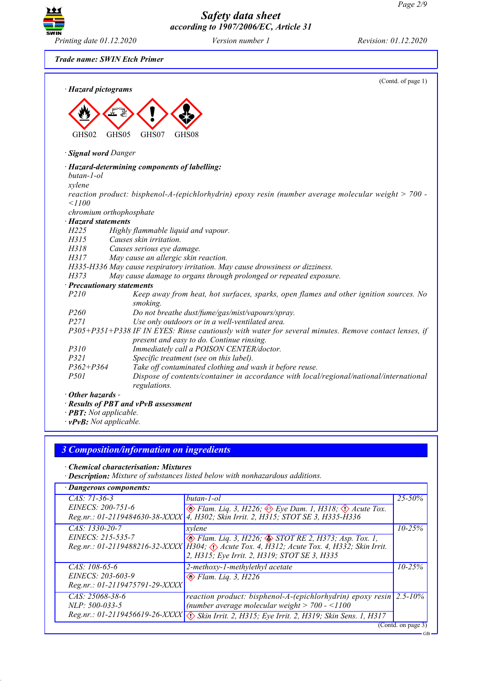*Printing date 01.12.2020 Version number 1 Revision: 01.12.2020*

*according to 1907/2006/EC, Article 31*

*Safety data sheet*

*Trade name: SWIN Etch Primer*

(Contd. of page 1) *· Hazard pictograms* E GHS02 E GHS05  $\langle \cdot \rangle$ GHS07 E GHS08 *· Signal word Danger · Hazard-determining components of labelling: butan-1-ol xylene reaction product: bisphenol-A-(epichlorhydrin) epoxy resin (number average molecular weight > 700 - <1100 chromium orthophosphate · Hazard statements H225 Highly flammable liquid and vapour. H315 Causes skin irritation. H318 Causes serious eye damage. H317 May cause an allergic skin reaction. H335-H336 May cause respiratory irritation. May cause drowsiness or dizziness. H373 May cause damage to organs through prolonged or repeated exposure. · Precautionary statements P210 Keep away from heat, hot surfaces, sparks, open flames and other ignition sources. No smoking. P260 Do not breathe dust/fume/gas/mist/vapours/spray. P271 Use only outdoors or in a well-ventilated area. P305+P351+P338 IF IN EYES: Rinse cautiously with water for several minutes. Remove contact lenses, if present and easy to do. Continue rinsing. P310 Immediately call a POISON CENTER/doctor. P321 Specific treatment (see on this label). P362+P364 Take off contaminated clothing and wash it before reuse. P501 Dispose of contents/container in accordance with local/regional/national/international regulations. · Other hazards - · Results of PBT and vPvB assessment*

- *· PBT: Not applicable. · vPvB: Not applicable.*
- 

### *3 Composition/information on ingredients*

*· Chemical characterisation: Mixtures*

*· Description: Mixture of substances listed below with nonhazardous additions.*

|  | $CAS: 71-36-3$<br>EINECS: 200-751-6                                    | butan-1-ol<br>$\otimes$ Flam. Liq. 3, H226; $\otimes$ Eye Dam. 1, H318; $\otimes$ Acute Tox.<br>Reg.nr.: 01-2119484630-38-XXXX   4, H302; Skin Irrit. 2, H315; STOT SE 3, H335-H336                            | $25 - 50\%$  |  |
|--|------------------------------------------------------------------------|----------------------------------------------------------------------------------------------------------------------------------------------------------------------------------------------------------------|--------------|--|
|  | $CAS: 1330-20-7$<br>EINECS: 215-535-7                                  | xvlene<br>Elam. Liq. 3, H226; STOT RE 2, H373; Asp. Tox. 1,<br>Reg.nr.: 01-2119488216-32-XXXX   H304; Acute Tox. 4, H312; Acute Tox. 4, H332; Skin Irrit.<br>2, H315; Eye Irrit. 2, H319; STOT SE 3, H335      | $10 - 25\%$  |  |
|  | $CAS: 108-65-6$<br>EINECS: 203-603-9<br>Reg.nr.: 01-2119475791-29-XXXX | 2-methoxy-1-methylethyl acetate<br>$\otimes$ Flam. Liq. 3, H226                                                                                                                                                | $10 - 25%$   |  |
|  | CAS: 25068-38-6<br>$NLP: 500-033-5$                                    | reaction product: bisphenol-A-(epichlorhydrin) epoxy resin<br>(number average molecular weight $> 700 - 1100$<br>Reg.nr.: 01-2119456619-26-XXXX \( Skin Irrit. 2, H315; Eye Irrit. 2, H319; Skin Sens. 1, H317 | $2.5 - 10\%$ |  |
|  | (Contd. on page 3)                                                     |                                                                                                                                                                                                                |              |  |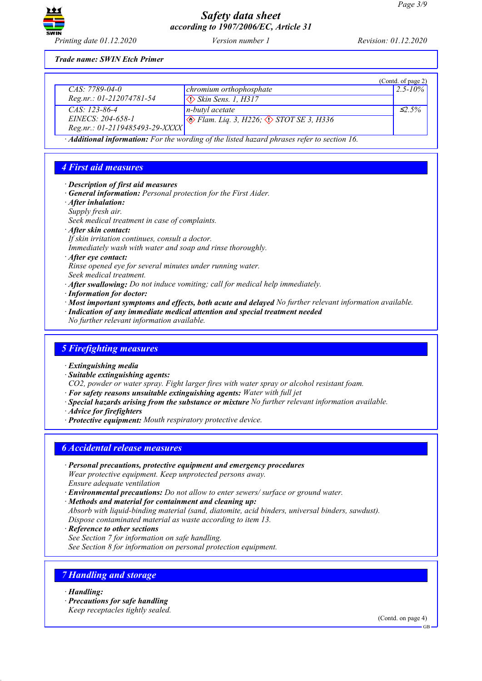

*Trade name: SWIN Etch Primer*

|                                                                                                              |                                                         | (Contd. of page 2) |  |
|--------------------------------------------------------------------------------------------------------------|---------------------------------------------------------|--------------------|--|
| $CAS: 7789-04-0$                                                                                             | chromium orthophosphate                                 | $2.5 - 10\%$       |  |
| $Reg.nr.: 01-212074781-54$                                                                                   | $\diamond$ Skin Sens. 1, H317                           |                    |  |
| $CAS: 123-86-4$                                                                                              | $n$ -butyl acetate                                      | $\leq 2.5\%$       |  |
| EINECS: 204-658-1                                                                                            | $\otimes$ Flam. Liq. 3, H226; $\otimes$ STOT SE 3, H336 |                    |  |
| $Reg.nr.: 01-2119485493-29-XXXX$                                                                             |                                                         |                    |  |
| $\it{AJJ2}$ and $\it{LrC}$ and $\it{LmC}$ . Then the considered of the Rest of homometric professor $\it{L}$ |                                                         |                    |  |

*· Additional information: For the wording of the listed hazard phrases refer to section 16.*

# *4 First aid measures*

- *· Description of first aid measures*
- *· General information: Personal protection for the First Aider.*
- *· After inhalation:*
- *Supply fresh air.*

*Seek medical treatment in case of complaints.*

- *· After skin contact:*
- *If skin irritation continues, consult a doctor.*
- *Immediately wash with water and soap and rinse thoroughly.*
- *· After eye contact: Rinse opened eye for several minutes under running water. Seek medical treatment.*
- *· After swallowing: Do not induce vomiting; call for medical help immediately.*
- *· Information for doctor:*
- *· Most important symptoms and effects, both acute and delayed No further relevant information available.*
- *· Indication of any immediate medical attention and special treatment needed*
- *No further relevant information available.*

### *5 Firefighting measures*

- *· Extinguishing media*
- *· Suitable extinguishing agents:*
- *CO2, powder or water spray. Fight larger fires with water spray or alcohol resistant foam.*
- *· For safety reasons unsuitable extinguishing agents: Water with full jet*
- *· Special hazards arising from the substance or mixture No further relevant information available.*
- *· Advice for firefighters*
- *· Protective equipment: Mouth respiratory protective device.*

### *6 Accidental release measures*

- *· Personal precautions, protective equipment and emergency procedures Wear protective equipment. Keep unprotected persons away. Ensure adequate ventilation*
- *· Environmental precautions: Do not allow to enter sewers/ surface or ground water.*
- *· Methods and material for containment and cleaning up: Absorb with liquid-binding material (sand, diatomite, acid binders, universal binders, sawdust). Dispose contaminated material as waste according to item 13.*
- *· Reference to other sections*
- *See Section 7 for information on safe handling.*

*See Section 8 for information on personal protection equipment.*

### *7 Handling and storage*

- *· Handling:*
- *· Precautions for safe handling Keep receptacles tightly sealed.*

(Contd. on page 4)

GB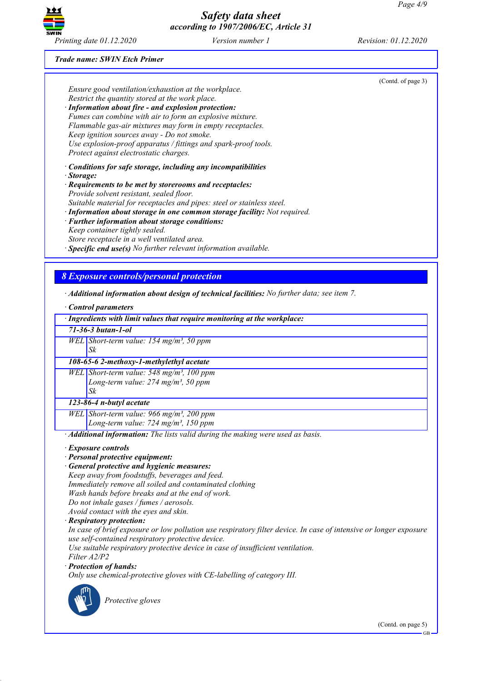

### *Trade name: SWIN Etch Primer*

|                                                                           | (Contd. of page 3) |
|---------------------------------------------------------------------------|--------------------|
| Ensure good ventilation/exhaustion at the workplace.                      |                    |
| Restrict the quantity stored at the work place.                           |                    |
| · Information about fire - and explosion protection:                      |                    |
| Fumes can combine with air to form an explosive mixture.                  |                    |
| Flammable gas-air mixtures may form in empty receptacles.                 |                    |
| Keep ignition sources away - Do not smoke.                                |                    |
| Use explosion-proof apparatus / fittings and spark-proof tools.           |                    |
| Protect against electrostatic charges.                                    |                    |
| $\cdot$ Conditions for safe storage, including any incompatibilities      |                    |
| · Storage:<br>· Requirements to be met by storerooms and receptacles:     |                    |
| Provide solvent resistant, sealed floor.                                  |                    |
| Suitable material for receptacles and pipes: steel or stainless steel.    |                    |
| · Information about storage in one common storage facility: Not required. |                    |
| · Further information about storage conditions:                           |                    |
| Keep container tightly sealed.                                            |                    |
| Store receptacle in a well ventilated area.                               |                    |
| $\cdot$ Specific end use(s) No further relevant information available.    |                    |
|                                                                           |                    |
|                                                                           |                    |
| <b>8 Exposure controls/personal protection</b>                            |                    |

*· Additional information about design of technical facilities: No further data; see item 7.*

#### *· Control parameters*

| · Ingredients with limit values that require monitoring at the workplace: |                                                                                                                                      |  |  |
|---------------------------------------------------------------------------|--------------------------------------------------------------------------------------------------------------------------------------|--|--|
| $71 - 36 - 3$ butan-1-ol                                                  |                                                                                                                                      |  |  |
|                                                                           | WEL Short-term value: $154$ mg/m <sup>3</sup> , 50 ppm                                                                               |  |  |
|                                                                           | Sk                                                                                                                                   |  |  |
|                                                                           | 108-65-6 2-methoxy-1-methylethyl acetate                                                                                             |  |  |
|                                                                           | WEL Short-term value: $548$ mg/m <sup>3</sup> , 100 ppm                                                                              |  |  |
|                                                                           | Long-term value: $274$ mg/m <sup>3</sup> , 50 ppm                                                                                    |  |  |
|                                                                           | Sk                                                                                                                                   |  |  |
|                                                                           | 123-86-4 n-butyl acetate                                                                                                             |  |  |
|                                                                           | WEL Short-term value: 966 mg/m <sup>3</sup> , 200 ppm                                                                                |  |  |
|                                                                           | Long-term value: $724$ mg/m <sup>3</sup> , 150 ppm                                                                                   |  |  |
|                                                                           | · Additional information: The lists valid during the making were used as basis.                                                      |  |  |
|                                                                           | · Exposure controls                                                                                                                  |  |  |
|                                                                           | · Personal protective equipment:                                                                                                     |  |  |
|                                                                           | · General protective and hygienic measures:                                                                                          |  |  |
|                                                                           | Keep away from foodstuffs, beverages and feed.                                                                                       |  |  |
|                                                                           | Immediately remove all soiled and contaminated clothing                                                                              |  |  |
|                                                                           | Wash hands before breaks and at the end of work.                                                                                     |  |  |
|                                                                           | Do not inhale gases / fumes / aerosols.                                                                                              |  |  |
|                                                                           | Avoid contact with the eyes and skin.                                                                                                |  |  |
|                                                                           | · Respiratory protection:                                                                                                            |  |  |
|                                                                           | In case of brief exposure or low pollution use respiratory filter device. In case of intensive or longer exposure                    |  |  |
|                                                                           | use self-contained respiratory protective device.<br>Use suitable respiratory protective device in case of insufficient ventilation. |  |  |
| Filter A2/P2                                                              |                                                                                                                                      |  |  |
| · Protection of hands:                                                    |                                                                                                                                      |  |  |
| Only use chemical-protective gloves with CE-labelling of category III.    |                                                                                                                                      |  |  |
|                                                                           | Protective gloves                                                                                                                    |  |  |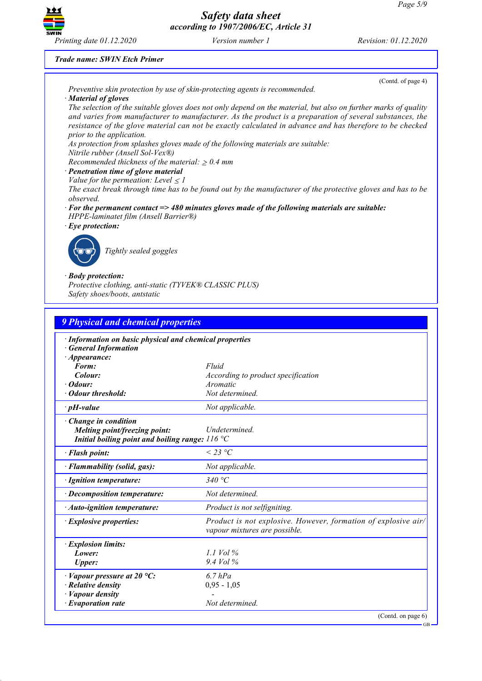

*Trade name: SWIN Etch Primer*

(Contd. of page 4)

*Preventive skin protection by use of skin-protecting agents is recommended.*

*· Material of gloves* The selection of the suitable gloves does not only depend on the material, but also on further marks of quality *and varies from manufacturer to manufacturer. As the product is a preparation of several substances, the* resistance of the glove material can not be exactly calculated in advance and has therefore to be checked *prior to the application.*

*As protection from splashes gloves made of the following materials are suitable:*

*Nitrile rubber (Ansell Sol-Vex®)*

*Recommended thickness of the material:*  $\geq 0.4$  *mm* 

- *· Penetration time of glove material*
- *Value for the permeation: Level*  $\leq$  *l*

The exact break through time has to be found out by the manufacturer of the protective gloves and has to be *observed.*

- *· For the permanent contact => 480 minutes gloves made of the following materials are suitable:*
- *HPPE-laminatet film (Ansell Barrier®) · Eye protection:*



*Tightly sealed goggles*

*· Body protection:*

*Protective clothing, anti-static (TYVEK® CLASSIC PLUS) Safety shoes/boots, antstatic*

| <b>9 Physical and chemical properties</b>                                                                          |                                                                                                 |  |  |
|--------------------------------------------------------------------------------------------------------------------|-------------------------------------------------------------------------------------------------|--|--|
| <b>General Information</b><br>$\cdot$ Appearance:                                                                  | · Information on basic physical and chemical properties                                         |  |  |
| Form:                                                                                                              | Fluid                                                                                           |  |  |
| Colour:                                                                                                            | According to product specification                                                              |  |  |
| $\cdot$ Odour:                                                                                                     | Aromatic                                                                                        |  |  |
| · Odour threshold:                                                                                                 | Not determined.                                                                                 |  |  |
| $\cdot$ pH-value                                                                                                   | Not applicable.                                                                                 |  |  |
| · Change in condition<br>Melting point/freezing point:<br>Initial boiling point and boiling range: $116^{\circ}$ C | <b>Undetermined</b>                                                                             |  |  |
| · Flash point:                                                                                                     | $<$ 23 °C                                                                                       |  |  |
| · Flammability (solid, gas):                                                                                       | Not applicable.                                                                                 |  |  |
| · Ignition temperature:                                                                                            | 340 °C                                                                                          |  |  |
| $\cdot$ Decomposition temperature:                                                                                 | Not determined.                                                                                 |  |  |
| $\cdot$ Auto-ignition temperature:                                                                                 | Product is not selfigniting.                                                                    |  |  |
| · Explosive properties:                                                                                            | Product is not explosive. However, formation of explosive air/<br>vapour mixtures are possible. |  |  |
| · Explosion limits:<br>Lower:<br><b>Upper:</b>                                                                     | 1.1 Vol $\%$<br>9.4 Vol %                                                                       |  |  |
| $\cdot$ Vapour pressure at 20 °C:                                                                                  | $6.7$ $hPa$                                                                                     |  |  |
| $\cdot$ Relative density                                                                                           | $0.95 - 1.05$                                                                                   |  |  |
| Vapour density                                                                                                     |                                                                                                 |  |  |
| $\cdot$ Evaporation rate                                                                                           | Not determined.                                                                                 |  |  |
|                                                                                                                    | (Cond. on page 6)                                                                               |  |  |

GB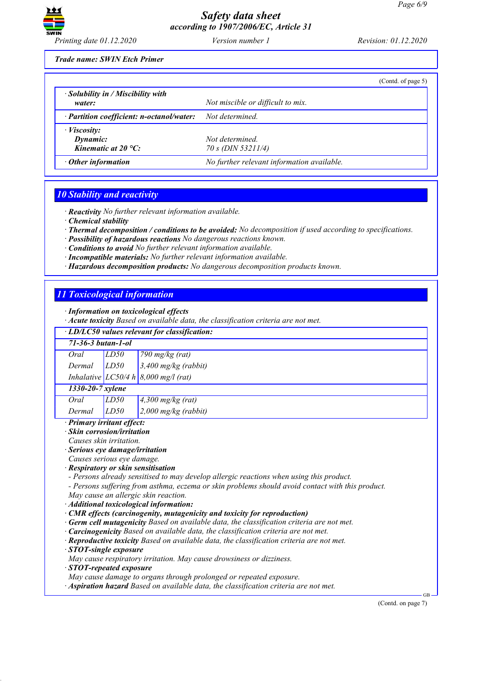

*Trade name: SWIN Etch Primer*

|                                                                       | (Contd. of page 5)                         |
|-----------------------------------------------------------------------|--------------------------------------------|
| $\cdot$ Solubility in / Miscibility with<br>water:                    | Not miscible or difficult to mix.          |
| $\cdot$ Partition coefficient: n-octanol/water:                       | Not determined.                            |
| $\cdot$ <i>Viscosity:</i><br>Dynamic:<br>Kinematic at $20^{\circ}$ C: | Not determined.<br>$70 s$ (DIN 53211/4)    |
| $\cdot$ Other information                                             | No further relevant information available. |

### *10 Stability and reactivity*

*· Reactivity No further relevant information available.*

*· Chemical stability*

*· Thermal decomposition / conditions to be avoided: No decomposition if used according to specifications.*

- *· Possibility of hazardous reactions No dangerous reactions known.*
- *· Conditions to avoid No further relevant information available.*
- *· Incompatible materials: No further relevant information available.*
- *· Hazardous decomposition products: No dangerous decomposition products known.*

# *11 Toxicological information*

*· Information on toxicological effects*

*· Acute toxicity Based on available data, the classification criteria are not met.*

#### *· LD/LC50 values relevant for classification:*

#### *71-36-3 butan-1-ol*

| $1330.30 \pm 1$ |                                                                                                                                                                               |
|-----------------|-------------------------------------------------------------------------------------------------------------------------------------------------------------------------------|
|                 |                                                                                                                                                                               |
|                 | Oral $\begin{array}{ l l }\n\hline\nOral & LDS0 & 790 mg/kg (rat) \\ Dermal & LDS0 & 3,400 mg/kg (rabbit) \\ Inhalative & LCS0/4 h & 8,000 mg/l (rat) \\ \hline\n\end{array}$ |
|                 |                                                                                                                                                                               |
|                 |                                                                                                                                                                               |

## *1330-20-7 xylene*

*Oral LD50 4,300 mg/kg (rat) Dermal LD50 2,000 mg/kg (rabbit)*

*· Primary irritant effect:*

*· Skin corrosion/irritation*

*Causes skin irritation.*

*· Serious eye damage/irritation*

*Causes serious eye damage.*

*· Respiratory or skin sensitisation*

*- Persons already sensitised to may develop allergic reactions when using this product.*

*- Persons suffering from asthma, eczema or skin problems should avoid contact with this product.*

*May cause an allergic skin reaction.*

*· Additional toxicological information:*

*· CMR effects (carcinogenity, mutagenicity and toxicity for reproduction)*

*· Germ cell mutagenicity Based on available data, the classification criteria are not met.*

*· Carcinogenicity Based on available data, the classification criteria are not met.*

*· Reproductive toxicity Based on available data, the classification criteria are not met.*

*· STOT-single exposure*

*May cause respiratory irritation. May cause drowsiness or dizziness.*

*· STOT-repeated exposure*

*May cause damage to organs through prolonged or repeated exposure.*

*· Aspiration hazard Based on available data, the classification criteria are not met.*

(Contd. on page 7)

GB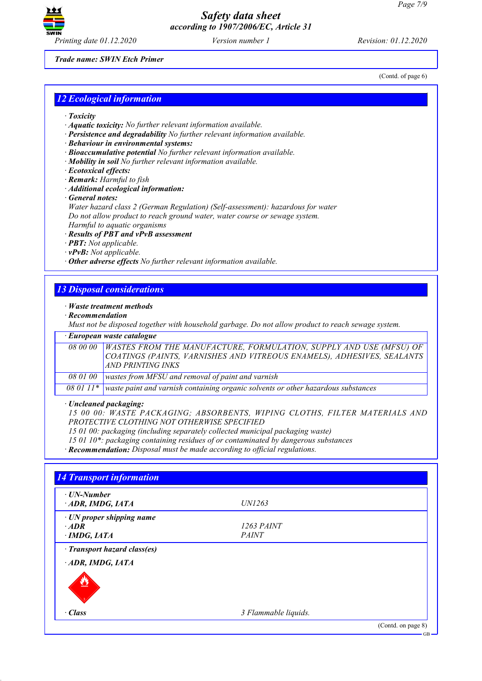

*Trade name: SWIN Etch Primer*

(Contd. of page 6)

## *12 Ecological information*

- *· Toxicity*
- *· Aquatic toxicity: No further relevant information available.*
- *· Persistence and degradability No further relevant information available.*
- *· Behaviour in environmental systems:*
- *· Bioaccumulative potential No further relevant information available.*
- *· Mobility in soil No further relevant information available.*
- *· Ecotoxical effects:*
- *· Remark: Harmful to fish*
- *· Additional ecological information:*
- *· General notes:*

*Water hazard class 2 (German Regulation) (Self-assessment): hazardous for water Do not allow product to reach ground water, water course or sewage system. Harmful to aquatic organisms*

- *· Results of PBT and vPvB assessment*
- *· PBT: Not applicable.*
- *· vPvB: Not applicable.*
- *· Other adverse effects No further relevant information available.*

### *13 Disposal considerations*

#### *· Waste treatment methods*

*· Recommendation*

*Must not be disposed together with household garbage. Do not allow product to reach sewage system.*

#### *· European waste catalogue*

|  | 08 00 00   WASTES FROM THE MANUFACTURE, FORMULATION, SUPPLY AND USE (MFSU) OF |
|--|-------------------------------------------------------------------------------|
|  | COATINGS (PAINTS, VARNISHES AND VITREOUS ENAMELS), ADHESIVES, SEALANTS        |
|  | <b>AND PRINTING INKS</b>                                                      |
|  | 08 01 00   wastes from MFSU and removal of paint and varnish                  |
|  |                                                                               |

*08 01 11\* waste paint and varnish containing organic solvents or other hazardous substances*

#### *· Uncleaned packaging:*

*15 00 00: WASTE PACKAGING; ABSORBENTS, WIPING CLOTHS, FILTER MATERIALS AND PROTECTIVE CLOTHING NOT OTHERWISE SPECIFIED*

*15 01 00: packaging (including separately collected municipal packaging waste)*

*15 01 10\*: packaging containing residues of or contaminated by dangerous substances*

*· Recommendation: Disposal must be made according to official regulations.*

| · UN-Number                     |                      |  |
|---------------------------------|----------------------|--|
| $\cdot$ ADR, IMDG, IATA         | <i>UN1263</i>        |  |
| $\cdot$ UN proper shipping name |                      |  |
| $\cdot$ ADR                     | 1263 PAINT           |  |
| $\cdot$ IMDG, IATA              | <b>PAINT</b>         |  |
| · Transport hazard class(es)    |                      |  |
| ADR, IMDG, IATA                 |                      |  |
|                                 |                      |  |
| · Class                         | 3 Flammable liquids. |  |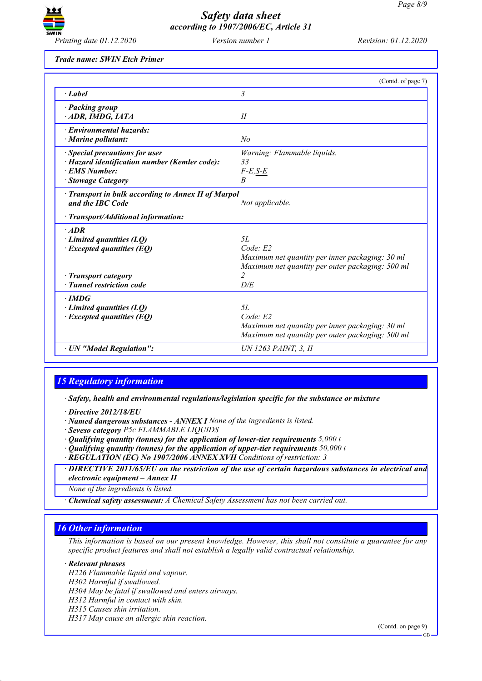

*Printing date 01.12.2020 Version number 1 Revision: 01.12.2020*

*Trade name: SWIN Etch Primer*

|                                                   | (Contd. of page 7)                               |  |
|---------------------------------------------------|--------------------------------------------------|--|
| $\cdot$ Label                                     | 3                                                |  |
| · Packing group                                   |                                                  |  |
| ADR, IMDG, IATA                                   | II                                               |  |
| · Environmental hazards:                          |                                                  |  |
| $\cdot$ Marine pollutant:                         | No                                               |  |
| · Special precautions for user                    | Warning: Flammable liquids.                      |  |
| · Hazard identification number (Kemler code):     | 33                                               |  |
| · EMS Number:                                     | $F-E,S-E$                                        |  |
| · Stowage Category                                | $\boldsymbol{B}$                                 |  |
| Transport in bulk according to Annex II of Marpol |                                                  |  |
| and the IBC Code                                  | Not applicable.                                  |  |
| · Transport/Additional information:               |                                                  |  |
| $·$ <i>ADR</i>                                    |                                                  |  |
| $\cdot$ Limited quantities (LQ)                   | 5L                                               |  |
| $\cdot$ Excepted quantities (EQ)                  | Code: E2                                         |  |
|                                                   | Maximum net quantity per inner packaging: 30 ml  |  |
|                                                   | Maximum net quantity per outer packaging: 500 ml |  |
| · Transport category                              | $\overline{c}$                                   |  |
| · Tunnel restriction code                         | D/E                                              |  |
| $\cdot$ IMDG                                      |                                                  |  |
| $\cdot$ Limited quantities (LQ)                   | 5L                                               |  |
| $\cdot$ Excepted quantities (EQ)                  | Code: E2                                         |  |
|                                                   | Maximum net quantity per inner packaging: 30 ml  |  |
|                                                   | Maximum net quantity per outer packaging: 500 ml |  |
| · UN "Model Regulation":                          | UN 1263 PAINT, 3, II                             |  |

### *15 Regulatory information*

*· Safety, health and environmental regulations/legislation specific for the substance or mixture*

*· Directive 2012/18/EU*

*· Named dangerous substances - ANNEX I None of the ingredients is listed.*

*· Seveso category P5c FLAMMABLE LIQUIDS*

*· Qualifying quantity (tonnes) for the application of lower-tier requirements 5,000 t*

*· Qualifying quantity (tonnes) for the application of upper-tier requirements 50,000 t*

*· REGULATION (EC) No 1907/2006 ANNEX XVII Conditions of restriction: 3*

*· DIRECTIVE 2011/65/EU on the restriction of the use of certain hazardous substances in electrical and electronic equipment – Annex II*

*None of the ingredients is listed.*

*· Chemical safety assessment: A Chemical Safety Assessment has not been carried out.*

### *16 Other information*

This information is based on our present knowledge. However, this shall not constitute a guarantee for any *specific product features and shall not establish a legally valid contractual relationship.*

*· Relevant phrases*

*H226 Flammable liquid and vapour.*

*H302 Harmful if swallowed.*

*H304 May be fatal if swallowed and enters airways.*

*H312 Harmful in contact with skin.*

*H315 Causes skin irritation.*

*H317 May cause an allergic skin reaction.*

(Contd. on page 9)

GB